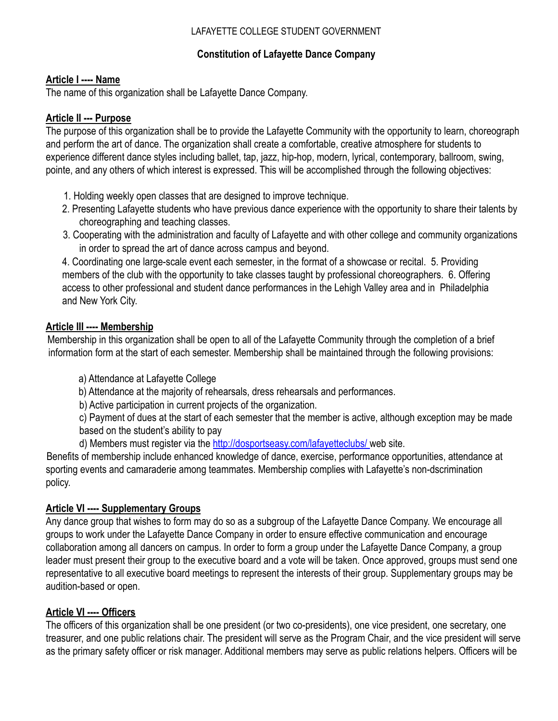#### LAFAYETTE COLLEGE STUDENT GOVERNMENT

# **Constitution of Lafayette Dance Company**

## **Article I ---- Name**

The name of this organization shall be Lafayette Dance Company.

# **Article II --- Purpose**

The purpose of this organization shall be to provide the Lafayette Community with the opportunity to learn, choreograph and perform the art of dance. The organization shall create a comfortable, creative atmosphere for students to experience different dance styles including ballet, tap, jazz, hip-hop, modern, lyrical, contemporary, ballroom, swing, pointe, and any others of which interest is expressed. This will be accomplished through the following objectives:

- 1. Holding weekly open classes that are designed to improve technique.
- 2. Presenting Lafayette students who have previous dance experience with the opportunity to share their talents by choreographing and teaching classes.
- 3. Cooperating with the administration and faculty of Lafayette and with other college and community organizations in order to spread the art of dance across campus and beyond.

4. Coordinating one large-scale event each semester, in the format of a showcase or recital. 5. Providing members of the club with the opportunity to take classes taught by professional choreographers. 6. Offering access to other professional and student dance performances in the Lehigh Valley area and in Philadelphia and New York City.

# **Article III ---- Membership**

Membership in this organization shall be open to all of the Lafayette Community through the completion of a brief information form at the start of each semester. Membership shall be maintained through the following provisions:

- a) Attendance at Lafayette College
- b) Attendance at the majority of rehearsals, dress rehearsals and performances.
- b) Active participation in current projects of the organization.
- c) Payment of dues at the start of each semester that the member is active, although exception may be made based on the student's ability to pay
- d) Members must register via the http://dosportseasy.com/lafayetteclubs/ web site.

Benefits of membership include enhanced knowledge of dance, exercise, performance opportunities, attendance at sporting events and camaraderie among teammates. Membership complies with Lafayette's non-dscrimination policy.

### **Article VI ---- Supplementary Groups**

Any dance group that wishes to form may do so as a subgroup of the Lafayette Dance Company. We encourage all groups to work under the Lafayette Dance Company in order to ensure effective communication and encourage collaboration among all dancers on campus. In order to form a group under the Lafayette Dance Company, a group leader must present their group to the executive board and a vote will be taken. Once approved, groups must send one representative to all executive board meetings to represent the interests of their group. Supplementary groups may be audition-based or open.

# **Article VI ---- Officers**

The officers of this organization shall be one president (or two co-presidents), one vice president, one secretary, one treasurer, and one public relations chair. The president will serve as the Program Chair, and the vice president will serve as the primary safety officer or risk manager. Additional members may serve as public relations helpers. Officers will be